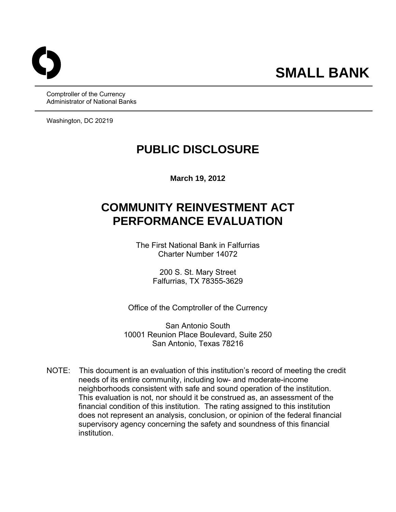Comptroller of the Currency Administrator of National Banks

Washington, DC 20219

## **PUBLIC DISCLOSURE**

**March 19, 2012** 

# **COMMUNITY REINVESTMENT ACT PERFORMANCE EVALUATION**

The First National Bank in Falfurrias Charter Number 14072

> 200 S. St. Mary Street Falfurrias, TX 78355-3629

Office of the Comptroller of the Currency

San Antonio South 10001 Reunion Place Boulevard, Suite 250 San Antonio, Texas 78216

NOTE: This document is an evaluation of this institution's record of meeting the credit needs of its entire community, including low- and moderate-income neighborhoods consistent with safe and sound operation of the institution. This evaluation is not, nor should it be construed as, an assessment of the financial condition of this institution. The rating assigned to this institution does not represent an analysis, conclusion, or opinion of the federal financial supervisory agency concerning the safety and soundness of this financial institution.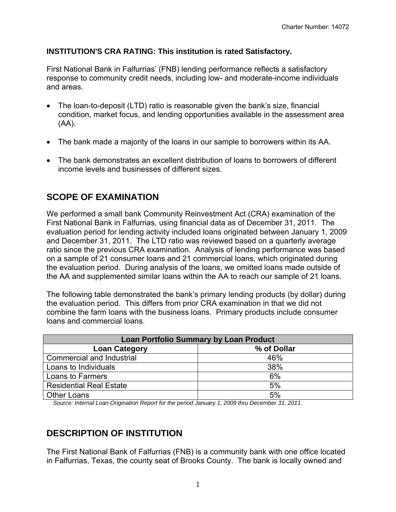#### **INSTITUTION'S CRA RATING: This institution is rated Satisfactory.**

First National Bank in Falfurrias' (FNB) lending performance reflects a satisfactory response to community credit needs, including low- and moderate-income individuals and areas.

- The loan-to-deposit (LTD) ratio is reasonable given the bank's size, financial condition, market focus, and lending opportunities available in the assessment area (AA).
- The bank made a majority of the loans in our sample to borrowers within its AA.
- The bank demonstrates an excellent distribution of loans to borrowers of different income levels and businesses of different sizes.

## **SCOPE OF EXAMINATION**

We performed a small bank Community Reinvestment Act (CRA) examination of the First National Bank in Falfurrias, using financial data as of December 31, 2011. The evaluation period for lending activity included loans originated between January 1, 2009 and December 31, 2011. The LTD ratio was reviewed based on a quarterly average ratio since the previous CRA examination. Analysis of lending performance was based on a sample of 21 consumer loans and 21 commercial loans, which originated during the evaluation period. During analysis of the loans, we omitted loans made outside of the AA and supplemented similar loans within the AA to reach our sample of 21 loans.

The following table demonstrated the bank's primary lending products (by dollar) during the evaluation period. This differs from prior CRA examination in that we did not combine the farm loans with the business loans. Primary products include consumer loans and commercial loans.

| <b>Loan Portfolio Summary by Loan Product</b>                                                   |             |  |  |  |  |
|-------------------------------------------------------------------------------------------------|-------------|--|--|--|--|
| <b>Loan Category</b>                                                                            | % of Dollar |  |  |  |  |
| Commercial and Industrial                                                                       | 46%         |  |  |  |  |
| Loans to Individuals                                                                            | 38%         |  |  |  |  |
| Loans to Farmers                                                                                | 6%          |  |  |  |  |
| <b>Residential Real Estate</b>                                                                  | 5%          |  |  |  |  |
| <b>Other Loans</b>                                                                              | 5%          |  |  |  |  |
| Source: Internal Loan Origination Report for the period January 1, 2009 thru December 31, 2011. |             |  |  |  |  |

## **DESCRIPTION OF INSTITUTION**

The First National Bank of Falfurrias (FNB) is a community bank with one office located in Falfurrias, Texas, the county seat of Brooks County. The bank is locally owned and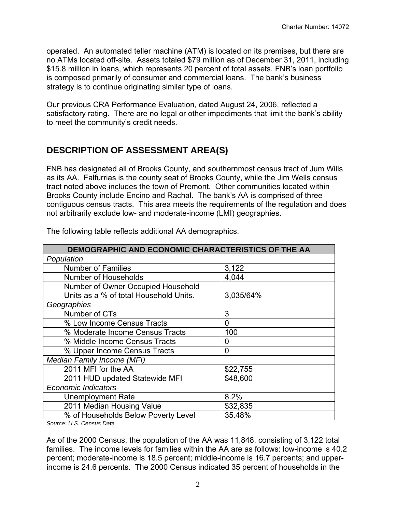operated. An automated teller machine (ATM) is located on its premises, but there are no ATMs located off-site. Assets totaled \$79 million as of December 31, 2011, including \$15.8 million in loans, which represents 20 percent of total assets. FNB's loan portfolio is composed primarily of consumer and commercial loans. The bank's business strategy is to continue originating similar type of loans.

Our previous CRA Performance Evaluation, dated August 24, 2006, reflected a satisfactory rating. There are no legal or other impediments that limit the bank's ability to meet the community's credit needs.

## **DESCRIPTION OF ASSESSMENT AREA(S)**

FNB has designated all of Brooks County, and southernmost census tract of Jum Wills as its AA. Falfurrias is the county seat of Brooks County, while the Jim Wells census tract noted above includes the town of Premont. Other communities located within Brooks County include Encino and Rachal. The bank's AA is comprised of three contiguous census tracts. This area meets the requirements of the regulation and does not arbitrarily exclude low- and moderate-income (LMI) geographies.

| DEMOGRAPHIC AND ECONOMIC CHARACTERISTICS OF THE AA |           |  |  |  |  |  |
|----------------------------------------------------|-----------|--|--|--|--|--|
| Population                                         |           |  |  |  |  |  |
| <b>Number of Families</b>                          | 3,122     |  |  |  |  |  |
| <b>Number of Households</b>                        | 4,044     |  |  |  |  |  |
| Number of Owner Occupied Household                 |           |  |  |  |  |  |
| Units as a % of total Household Units.             | 3,035/64% |  |  |  |  |  |
| Geographies                                        |           |  |  |  |  |  |
| Number of CTs                                      | 3         |  |  |  |  |  |
| % Low Income Census Tracts                         | 0         |  |  |  |  |  |
| % Moderate Income Census Tracts                    | 100       |  |  |  |  |  |
| % Middle Income Census Tracts                      | 0         |  |  |  |  |  |
| % Upper Income Census Tracts                       | 0         |  |  |  |  |  |
| Median Family Income (MFI)                         |           |  |  |  |  |  |
| 2011 MFI for the AA                                | \$22,755  |  |  |  |  |  |
| 2011 HUD updated Statewide MFI                     | \$48,600  |  |  |  |  |  |
| <b>Economic Indicators</b>                         |           |  |  |  |  |  |
| <b>Unemployment Rate</b>                           | 8.2%      |  |  |  |  |  |
| 2011 Median Housing Value                          | \$32,835  |  |  |  |  |  |
| % of Households Below Poverty Level                | 35.48%    |  |  |  |  |  |

The following table reflects additional AA demographics.

*Source: U.S. Census Data* 

As of the 2000 Census, the population of the AA was 11,848, consisting of 3,122 total families. The income levels for families within the AA are as follows: low-income is 40.2 percent; moderate-income is 18.5 percent; middle-income is 16.7 percents; and upperincome is 24.6 percents. The 2000 Census indicated 35 percent of households in the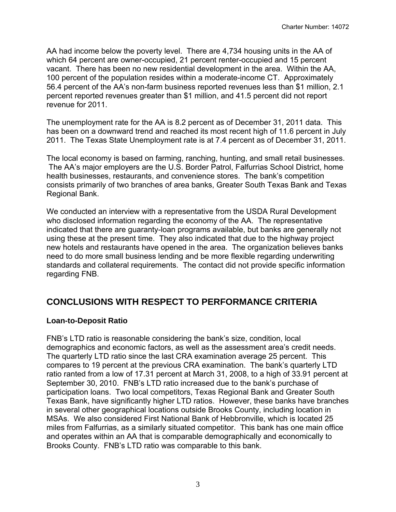AA had income below the poverty level. There are 4,734 housing units in the AA of which 64 percent are owner-occupied, 21 percent renter-occupied and 15 percent vacant. There has been no new residential development in the area. Within the AA, 100 percent of the population resides within a moderate-income CT. Approximately 56.4 percent of the AA's non-farm business reported revenues less than \$1 million, 2.1 percent reported revenues greater than \$1 million, and 41.5 percent did not report revenue for 2011.

The unemployment rate for the AA is 8.2 percent as of December 31, 2011 data. This has been on a downward trend and reached its most recent high of 11.6 percent in July 2011. The Texas State Unemployment rate is at 7.4 percent as of December 31, 2011.

The local economy is based on farming, ranching, hunting, and small retail businesses. The AA's major employers are the U.S. Border Patrol, Falfurrias School District, home health businesses, restaurants, and convenience stores. The bank's competition consists primarily of two branches of area banks, Greater South Texas Bank and Texas Regional Bank.

We conducted an interview with a representative from the USDA Rural Development who disclosed information regarding the economy of the AA. The representative indicated that there are guaranty-loan programs available, but banks are generally not using these at the present time. They also indicated that due to the highway project new hotels and restaurants have opened in the area. The organization believes banks need to do more small business lending and be more flexible regarding underwriting standards and collateral requirements. The contact did not provide specific information regarding FNB.

## **CONCLUSIONS WITH RESPECT TO PERFORMANCE CRITERIA**

#### **Loan-to-Deposit Ratio**

FNB's LTD ratio is reasonable considering the bank's size, condition, local demographics and economic factors, as well as the assessment area's credit needs. The quarterly LTD ratio since the last CRA examination average 25 percent. This compares to 19 percent at the previous CRA examination. The bank's quarterly LTD ratio ranted from a low of 17.31 percent at March 31, 2008, to a high of 33.91 percent at September 30, 2010. FNB's LTD ratio increased due to the bank's purchase of participation loans. Two local competitors, Texas Regional Bank and Greater South Texas Bank, have significantly higher LTD ratios. However, these banks have branches in several other geographical locations outside Brooks County, including location in MSAs. We also considered First National Bank of Hebbronville, which is located 25 miles from Falfurrias, as a similarly situated competitor. This bank has one main office and operates within an AA that is comparable demographically and economically to Brooks County. FNB's LTD ratio was comparable to this bank.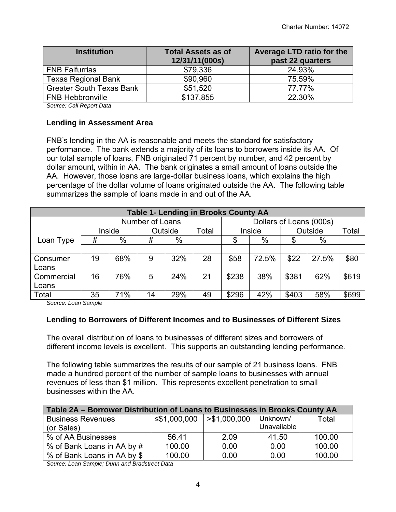| <b>Institution</b>              | <b>Total Assets as of</b><br>12/31/11(000s) | Average LTD ratio for the<br>past 22 quarters |  |  |
|---------------------------------|---------------------------------------------|-----------------------------------------------|--|--|
| <b>FNB Falfurrias</b>           | \$79,336                                    | 24.93%                                        |  |  |
| <b>Texas Regional Bank</b>      | \$90,960                                    | 75.59%                                        |  |  |
| <b>Greater South Texas Bank</b> | \$51,520                                    | 77.77%                                        |  |  |
| <b>FNB Hebbronville</b>         | \$137,855                                   | 22.30%                                        |  |  |

*Source: Call Report Data* 

#### **Lending in Assessment Area**

FNB's lending in the AA is reasonable and meets the standard for satisfactory performance. The bank extends a majority of its loans to borrowers inside its AA. Of our total sample of loans, FNB originated 71 percent by number, and 42 percent by dollar amount, within in AA. The bank originates a small amount of loans outside the AA. However, those loans are large-dollar business loans, which explains the high percentage of the dollar volume of loans originated outside the AA. The following table summarizes the sample of loans made in and out of the AA.

| <b>Table 1- Lending in Brooks County AA</b> |                 |        |    |         |                         |        |       |       |         |       |
|---------------------------------------------|-----------------|--------|----|---------|-------------------------|--------|-------|-------|---------|-------|
|                                             | Number of Loans |        |    |         | Dollars of Loans (000s) |        |       |       |         |       |
|                                             |                 | Inside |    | Outside | Total                   | Inside |       |       | Outside |       |
| Loan Type                                   | #               | %      | #  | %       |                         | \$     | %     | \$    | %       |       |
|                                             |                 |        |    |         |                         |        |       |       |         |       |
| Consumer                                    | 19              | 68%    | 9  | 32%     | 28                      | \$58   | 72.5% | \$22  | 27.5%   | \$80  |
| Loans                                       |                 |        |    |         |                         |        |       |       |         |       |
| Commercial                                  | 16              | 76%    | 5  | 24%     | 21                      | \$238  | 38%   | \$381 | 62%     | \$619 |
| Loans                                       |                 |        |    |         |                         |        |       |       |         |       |
| Total                                       | 35              | 71%    | 14 | 29%     | 49                      | \$296  | 42%   | \$403 | 58%     | \$699 |

*Source: Loan Sample* 

#### **Lending to Borrowers of Different Incomes and to Businesses of Different Sizes**

The overall distribution of loans to businesses of different sizes and borrowers of different income levels is excellent. This supports an outstanding lending performance.

The following table summarizes the results of our sample of 21 business loans. FNB made a hundred percent of the number of sample loans to businesses with annual revenues of less than \$1 million. This represents excellent penetration to small businesses within the AA.

| Table 2A – Borrower Distribution of Loans to Businesses in Brooks County AA |              |               |             |        |  |  |  |  |
|-----------------------------------------------------------------------------|--------------|---------------|-------------|--------|--|--|--|--|
| <b>Business Revenues</b>                                                    | ≤\$1,000,000 | > \$1,000,000 | Unknown/    | Total  |  |  |  |  |
| (or Sales)                                                                  |              |               | Unavailable |        |  |  |  |  |
| % of AA Businesses                                                          | 56.41        | 2.09          | 41.50       | 100.00 |  |  |  |  |
| % of Bank Loans in AA by #                                                  | 100.00       | 0.00          | 0.00        | 100.00 |  |  |  |  |
| % of Bank Loans in AA by \$                                                 | 100.00       | 0.00          | 0.00        | 100.00 |  |  |  |  |

*Source: Loan Sample; Dunn and Bradstreet Data*